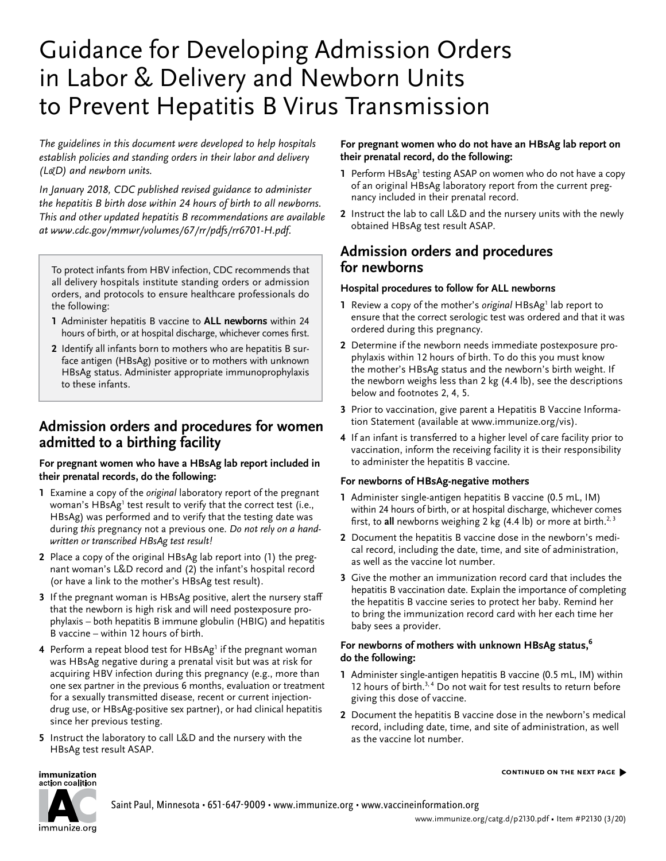# Guidance for Developing Admission Orders in Labor & Delivery and Newborn Units to Prevent Hepatitis B Virus Transmission

*The guidelines in this document were developed to help hospitals establish policies and standing orders in their labor and delivery (L&D) and newborn units.* 

*In January 2018, CDC published revised guidance to administer the hepatitis B birth dose within 24 hours of birth to all newborns. This and other updated hepatitis B recommendations are available at [www.cdc.gov/mmwr/volumes/67/rr/pdfs/rr6701-H.pdf](http://www.cdc.gov/mmwr/volumes/67/rr/pdfs/rr6701-H.pdf).*

To protect infants from HBV infection, CDC recommends that all delivery hospitals institute standing orders or admission orders, and protocols to ensure healthcare professionals do the following:

- **1** Administer hepatitis B vaccine to **ALL newborns** within 24 hours of birth, or at hospital discharge, whichever comes first.
- **2** Identify all infants born to mothers who are hepatitis B surface antigen (HBsAg) positive or to mothers with unknown HBsAg status. Administer appropriate immunoprophylaxis to these infants.

# **Admission orders and procedures for women admitted to a birthing facility**

### **For pregnant women who have a HBsAg lab report included in their prenatal records, do the following:**

- **1** Examine a copy of the *original* laboratory report of the pregnant woman's HBsAg<sup>1</sup> test result to verify that the correct test (i.e., HBsAg) was performed and to verify that the testing date was during *this* pregnancy not a previous one. *Do not rely on a handwritten or transcribed HBsAg test result!*
- **2** Place a copy of the original HBsAg lab report into (1) the pregnant woman's L&D record and (2) the infant's hospital record (or have a link to the mother's HBsAg test result).
- **3** If the pregnant woman is HBsAg positive, alert the nursery staff that the newborn is high risk and will need postexposure prophylaxis – both hepatitis B immune globulin (HBIG) and hepatitis B vaccine – within 12 hours of birth.
- **4** Perform a repeat blood test for HBsAg<sup>1</sup> if the pregnant woman was HBsAg negative during a prenatal visit but was at risk for acquiring HBV infection during this pregnancy (e.g., more than one sex partner in the previous 6 months, evaluation or treatment for a sexually transmitted disease, recent or current injectiondrug use, or HBsAg-positive sex partner), or had clinical hepatitis since her previous testing.
- **5** Instruct the laboratory to call L&D and the nursery with the HBsAg test result ASAP.

### **For pregnant women who do not have an HBsAg lab report on their prenatal record, do the following:**

- **1** Perform HBsAg<sup>1</sup> testing ASAP on women who do not have a copy of an original HBsAg laboratory report from the current pregnancy included in their prenatal record.
- **2** Instruct the lab to call L&D and the nursery units with the newly obtained HBsAg test result ASAP.

# **Admission orders and procedures for newborns**

## **Hospital procedures to follow for ALL newborns**

- 1 Review a copy of the mother's *original* HBsAg<sup>1</sup> lab report to ensure that the correct serologic test was ordered and that it was ordered during this pregnancy.
- **2** Determine if the newborn needs immediate postexposure prophylaxis within 12 hours of birth. To do this you must know the mother's HBsAg status and the newborn's birth weight. If the newborn weighs less than 2 kg (4.4 lb), see the descriptions below and footnotes 2, 4, 5.
- **3** Prior to vaccination, give parent a Hepatitis B Vaccine Information Statement (available at [www.immunize.org/vis](http://www.immunize.org/vis)).
- **4** If an infant is transferred to a higher level of care facility prior to vaccination, inform the receiving facility it is their responsibility to administer the hepatitis B vaccine.

## **For newborns of HBsAg-negative mothers**

- **1** Administer single-antigen hepatitis B vaccine (0.5 mL, IM) within 24 hours of birth, or at hospital discharge, whichever comes first, to all newborns weighing 2 kg (4.4 lb) or more at birth.<sup>2, 3</sup>
- **2** Document the hepatitis B vaccine dose in the newborn's medical record, including the date, time, and site of administration, as well as the vaccine lot number.
- **3** Give the mother an immunization record card that includes the hepatitis B vaccination date. Explain the importance of completing the hepatitis B vaccine series to protect her baby. Remind her to bring the immunization record card with her each time her baby sees a provider.

#### **For newborns of mothers with unknown HBsAg status,6 do the following:**

- **1** Administer single-antigen hepatitis B vaccine (0.5 mL, IM) within 12 hours of birth.<sup>3, 4</sup> Do not wait for test results to return before giving this dose of vaccine.
- **2** Document the hepatitis B vaccine dose in the newborn's medical record, including date, time, and site of administration, as well as the vaccine lot number.

#### **continued on the next page** �



immunization

Saint Paul, Minnesota • 651-647-9009 • [www.immunize.org](http://www.immunize.org) • [www.vaccineinformation.org](http://www.vaccineinformation.org)